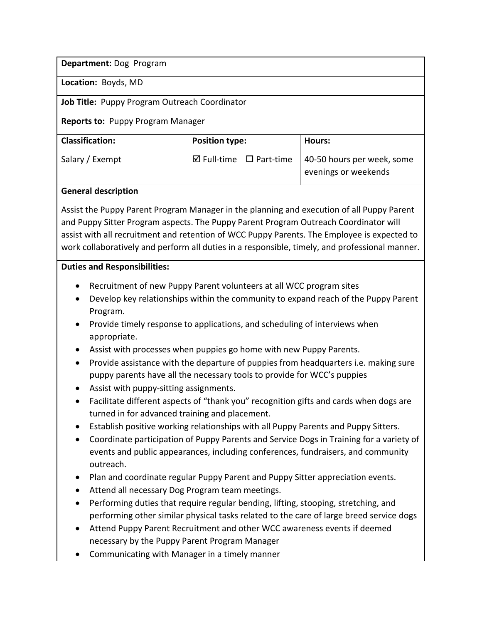**Department:** Dog Program

**Location:** Boyds, MD

**Job Title:** Puppy Program Outreach Coordinator

**Reports to:** Puppy Program Manager

| <b>Classification:</b> | <b>Position type:</b>                  | Hours:                                             |
|------------------------|----------------------------------------|----------------------------------------------------|
| Salary / Exempt        | $\boxtimes$ Full-time $\Box$ Part-time | 40-50 hours per week, some<br>evenings or weekends |

## **General description**

Assist the Puppy Parent Program Manager in the planning and execution of all Puppy Parent and Puppy Sitter Program aspects. The Puppy Parent Program Outreach Coordinator will assist with all recruitment and retention of WCC Puppy Parents. The Employee is expected to work collaboratively and perform all duties in a responsible, timely, and professional manner.

## **Duties and Responsibilities:**

- Recruitment of new Puppy Parent volunteers at all WCC program sites
- Develop key relationships within the community to expand reach of the Puppy Parent Program.
- Provide timely response to applications, and scheduling of interviews when appropriate.
- Assist with processes when puppies go home with new Puppy Parents.
- Provide assistance with the departure of puppies from headquarters i.e. making sure puppy parents have all the necessary tools to provide for WCC's puppies
- Assist with puppy-sitting assignments.
- Facilitate different aspects of "thank you" recognition gifts and cards when dogs are turned in for advanced training and placement.
- Establish positive working relationships with all Puppy Parents and Puppy Sitters.
- Coordinate participation of Puppy Parents and Service Dogs in Training for a variety of events and public appearances, including conferences, fundraisers, and community outreach.
- Plan and coordinate regular Puppy Parent and Puppy Sitter appreciation events.
- Attend all necessary Dog Program team meetings.
- Performing duties that require regular bending, lifting, stooping, stretching, and performing other similar physical tasks related to the care of large breed service dogs
- Attend Puppy Parent Recruitment and other WCC awareness events if deemed necessary by the Puppy Parent Program Manager
- Communicating with Manager in a timely manner